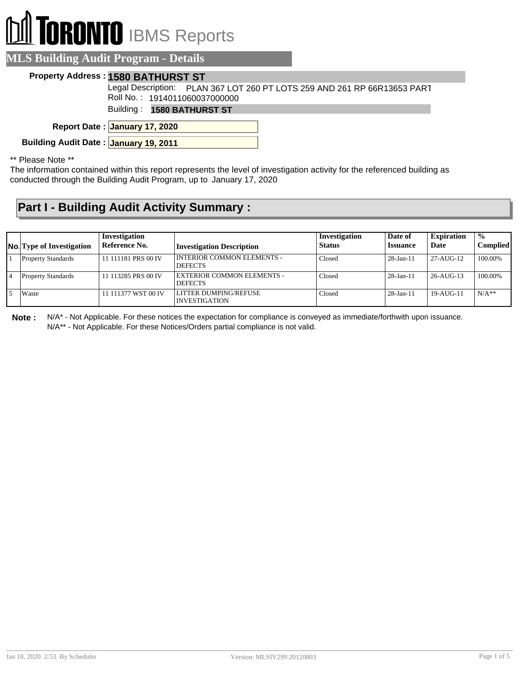# **RONTO** IBMS Reports

### **MLS Building Audit Program - Details**

#### **Property Address : 1580 BATHURST ST**

Legal Description: PLAN 367 LOT 260 PT LOTS 259 AND 261 RP 66R13653 PART Roll No. : 1914011060037000000

Building : **1580 BATHURST ST**

**January 17, 2020 Report Date :**

**Building Audit Date : January 19, 2011**

\*\* Please Note \*\*

The information contained within this report represents the level of investigation activity for the referenced building as conducted through the Building Audit Program, up to January 17, 2020

## **Part I - Building Audit Activity Summary :**

| <b>No.</b> Type of Investigation | Investigation<br>Reference No. | <b>Investigation Description</b>               | Investigation<br>Status | Date of<br><b>Issuance</b> | <b>Expiration</b><br>Date | $\frac{0}{0}$<br><b>Complied</b> |
|----------------------------------|--------------------------------|------------------------------------------------|-------------------------|----------------------------|---------------------------|----------------------------------|
| <b>Property Standards</b>        | 11 111181 PRS 00 IV            | I INTERIOR COMMON ELEMENTS -<br><b>DEFECTS</b> | Closed                  | $28$ -Jan-11               | 27-AUG-12                 | 100.00%                          |
| <b>Property Standards</b>        | 11 113285 PRS 00 IV            | EXTERIOR COMMON ELEMENTS -<br><b>DEFECTS</b>   | Closed                  | $28$ -Jan-11               | $26-AUG-13$               | 100.00%                          |
| Waste                            | 11 111377 WST 00 IV            | LLITTER DUMPING/REFUSE<br>INVESTIGATION        | Closed                  | $28$ -Jan-11               | $19-AU$ G-11              | $N/A**$                          |

**Note :** N/A\* - Not Applicable. For these notices the expectation for compliance is conveyed as immediate/forthwith upon issuance. N/A\*\* - Not Applicable. For these Notices/Orders partial compliance is not valid.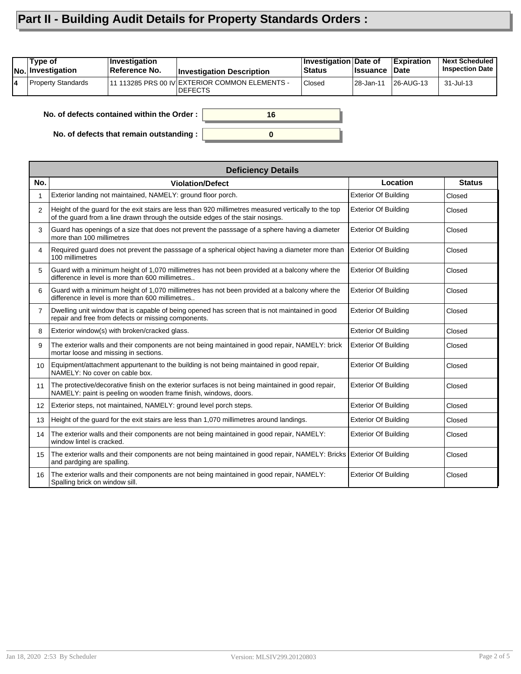## **Part II - Building Audit Details for Property Standards Orders :**

| 11 113285 PRS 00 IV EXTERIOR COMMON ELEMENTS -<br><b>Property Standards</b><br><b>Closed</b><br>l 28-Jan-11<br> 26-AUG-13<br>31-Jul-13<br>14 | Type of<br>No. Investigation | Investigation<br>Reference No. | <b>Investigation Description</b> | <b>Investigation Date of</b><br>⊦Status | <b>Issuance</b> | <b>Expiration</b><br><b>Date</b> | <b>Next Scheduled</b><br><b>Inspection Date</b> |
|----------------------------------------------------------------------------------------------------------------------------------------------|------------------------------|--------------------------------|----------------------------------|-----------------------------------------|-----------------|----------------------------------|-------------------------------------------------|
|                                                                                                                                              |                              |                                | <b>IDEFECTS</b>                  |                                         |                 |                                  |                                                 |

**0**

**16**

**No. of defects contained within the Order :**

**No. of defects that remain outstanding :**

|                | <b>Deficiency Details</b>                                                                                                                                                              |                             |               |
|----------------|----------------------------------------------------------------------------------------------------------------------------------------------------------------------------------------|-----------------------------|---------------|
| No.            | <b>Violation/Defect</b>                                                                                                                                                                | Location                    | <b>Status</b> |
| 1              | Exterior landing not maintained, NAMELY: ground floor porch.                                                                                                                           | <b>Exterior Of Building</b> | Closed        |
| $\overline{2}$ | Height of the guard for the exit stairs are less than 920 millimetres measured vertically to the top<br>of the guard from a line drawn through the outside edges of the stair nosings. | <b>Exterior Of Building</b> | Closed        |
| 3              | Guard has openings of a size that does not prevent the passsage of a sphere having a diameter<br>more than 100 millimetres                                                             | <b>Exterior Of Building</b> | Closed        |
| 4              | Required guard does not prevent the passsage of a spherical object having a diameter more than<br>100 millimetres                                                                      | <b>Exterior Of Building</b> | Closed        |
| 5              | Guard with a minimum height of 1,070 millimetres has not been provided at a balcony where the<br>difference in level is more than 600 millimetres                                      | <b>Exterior Of Building</b> | Closed        |
| 6              | Guard with a minimum height of 1,070 millimetres has not been provided at a balcony where the<br>difference in level is more than 600 millimetres                                      | <b>Exterior Of Building</b> | Closed        |
| $\overline{7}$ | Dwelling unit window that is capable of being opened has screen that is not maintained in good<br>repair and free from defects or missing components.                                  | <b>Exterior Of Building</b> | Closed        |
| 8              | Exterior window(s) with broken/cracked glass.                                                                                                                                          | <b>Exterior Of Building</b> | Closed        |
| 9              | The exterior walls and their components are not being maintained in good repair, NAMELY: brick<br>mortar loose and missing in sections.                                                | <b>Exterior Of Building</b> | Closed        |
| 10             | Equipment/attachment appurtenant to the building is not being maintained in good repair,<br>NAMELY: No cover on cable box.                                                             | <b>Exterior Of Building</b> | Closed        |
| 11             | The protective/decorative finish on the exterior surfaces is not being maintained in good repair,<br>NAMELY: paint is peeling on wooden frame finish, windows, doors.                  | <b>Exterior Of Building</b> | Closed        |
| 12             | Exterior steps, not maintained, NAMELY: ground level porch steps.                                                                                                                      | <b>Exterior Of Building</b> | Closed        |
| 13             | Height of the guard for the exit stairs are less than 1,070 millimetres around landings.                                                                                               | <b>Exterior Of Building</b> | Closed        |
| 14             | The exterior walls and their components are not being maintained in good repair, NAMELY:<br>window lintel is cracked.                                                                  | <b>Exterior Of Building</b> | Closed        |
| 15             | The exterior walls and their components are not being maintained in good repair, NAMELY: Bricks Exterior Of Building<br>and pardging are spalling.                                     |                             | Closed        |
| 16             | The exterior walls and their components are not being maintained in good repair, NAMELY:<br>Spalling brick on window sill.                                                             | <b>Exterior Of Building</b> | Closed        |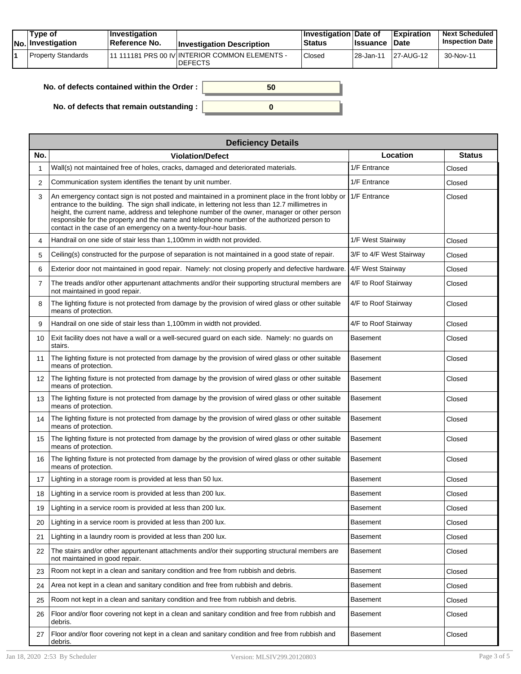| Type of<br>No. Investigation | <b>Investigation</b><br>⊺Reference No. | <b>Investigation Description</b>                                 | ∣Investigation Date of<br><b>Status</b> | <b>Issuance</b> | <b>Expiration</b><br><b>Date</b> | <b>Next Scheduled</b><br><b>Inspection Date</b> |
|------------------------------|----------------------------------------|------------------------------------------------------------------|-----------------------------------------|-----------------|----------------------------------|-------------------------------------------------|
| Property Standards           |                                        | 11 111181 PRS 00 IV INTERIOR COMMON ELEMENTS -<br><b>DEFECTS</b> | Closed                                  | 28-Jan-11       | 27-AUG-12                        | 30-Nov-11                                       |

| No. of defects contained within the Order: | 50 |
|--------------------------------------------|----|
|                                            |    |
| No. of defects that remain outstanding:    |    |

|                   | <b>Deficiency Details</b>                                                                                                                                                                                                                                                                                                                                                                                                                                                |                          |               |  |  |  |
|-------------------|--------------------------------------------------------------------------------------------------------------------------------------------------------------------------------------------------------------------------------------------------------------------------------------------------------------------------------------------------------------------------------------------------------------------------------------------------------------------------|--------------------------|---------------|--|--|--|
| No.               | <b>Violation/Defect</b>                                                                                                                                                                                                                                                                                                                                                                                                                                                  | Location                 | <b>Status</b> |  |  |  |
| 1                 | Wall(s) not maintained free of holes, cracks, damaged and deteriorated materials.                                                                                                                                                                                                                                                                                                                                                                                        | 1/F Entrance             | Closed        |  |  |  |
| $\overline{2}$    | Communication system identifies the tenant by unit number.                                                                                                                                                                                                                                                                                                                                                                                                               | 1/F Entrance             | Closed        |  |  |  |
| 3                 | An emergency contact sign is not posted and maintained in a prominent place in the front lobby or<br>entrance to the building. The sign shall indicate, in lettering not less than 12.7 millimetres in<br>height, the current name, address and telephone number of the owner, manager or other person<br>responsible for the property and the name and telephone number of the authorized person to<br>contact in the case of an emergency on a twenty-four-hour basis. | 1/F Entrance             | Closed        |  |  |  |
| 4                 | Handrail on one side of stair less than 1,100mm in width not provided.                                                                                                                                                                                                                                                                                                                                                                                                   | 1/F West Stairway        | Closed        |  |  |  |
| 5                 | Ceiling(s) constructed for the purpose of separation is not maintained in a good state of repair.                                                                                                                                                                                                                                                                                                                                                                        | 3/F to 4/F West Stairway | Closed        |  |  |  |
| 6                 | Exterior door not maintained in good repair. Namely: not closing properly and defective hardware.                                                                                                                                                                                                                                                                                                                                                                        | 4/F West Stairway        | Closed        |  |  |  |
| $\overline{7}$    | The treads and/or other appurtenant attachments and/or their supporting structural members are<br>not maintained in good repair.                                                                                                                                                                                                                                                                                                                                         | 4/F to Roof Stairway     | Closed        |  |  |  |
| 8                 | The lighting fixture is not protected from damage by the provision of wired glass or other suitable<br>means of protection.                                                                                                                                                                                                                                                                                                                                              | 4/F to Roof Stairway     | Closed        |  |  |  |
| 9                 | Handrail on one side of stair less than 1,100mm in width not provided.                                                                                                                                                                                                                                                                                                                                                                                                   | 4/F to Roof Stairway     | Closed        |  |  |  |
| 10                | Exit facility does not have a wall or a well-secured guard on each side. Namely: no guards on<br>stairs.                                                                                                                                                                                                                                                                                                                                                                 | Basement                 | Closed        |  |  |  |
| 11                | The lighting fixture is not protected from damage by the provision of wired glass or other suitable<br>means of protection.                                                                                                                                                                                                                                                                                                                                              | Basement                 | Closed        |  |  |  |
| $12 \overline{ }$ | The lighting fixture is not protected from damage by the provision of wired glass or other suitable<br>means of protection.                                                                                                                                                                                                                                                                                                                                              | <b>Basement</b>          | Closed        |  |  |  |
| 13                | The lighting fixture is not protected from damage by the provision of wired glass or other suitable<br>means of protection.                                                                                                                                                                                                                                                                                                                                              | Basement                 | Closed        |  |  |  |
| 14                | The lighting fixture is not protected from damage by the provision of wired glass or other suitable<br>means of protection.                                                                                                                                                                                                                                                                                                                                              | Basement                 | Closed        |  |  |  |
| 15                | The lighting fixture is not protected from damage by the provision of wired glass or other suitable<br>means of protection.                                                                                                                                                                                                                                                                                                                                              | Basement                 | Closed        |  |  |  |
| 16                | The lighting fixture is not protected from damage by the provision of wired glass or other suitable<br>means of protection.                                                                                                                                                                                                                                                                                                                                              | Basement                 | Closed        |  |  |  |
| 17                | Lighting in a storage room is provided at less than 50 lux.                                                                                                                                                                                                                                                                                                                                                                                                              | Basement                 | Closed        |  |  |  |
| 18                | Lighting in a service room is provided at less than 200 lux.                                                                                                                                                                                                                                                                                                                                                                                                             | Basement                 | Closed        |  |  |  |
| 19                | Lighting in a service room is provided at less than 200 lux.                                                                                                                                                                                                                                                                                                                                                                                                             | Basement                 | Closed        |  |  |  |
| 20                | Lighting in a service room is provided at less than 200 lux.                                                                                                                                                                                                                                                                                                                                                                                                             | Basement                 | Closed        |  |  |  |
| 21                | Lighting in a laundry room is provided at less than 200 lux.                                                                                                                                                                                                                                                                                                                                                                                                             | Basement                 | Closed        |  |  |  |
| 22                | The stairs and/or other appurtenant attachments and/or their supporting structural members are<br>not maintained in good repair.                                                                                                                                                                                                                                                                                                                                         | Basement                 | Closed        |  |  |  |
| 23                | Room not kept in a clean and sanitary condition and free from rubbish and debris.                                                                                                                                                                                                                                                                                                                                                                                        | Basement                 | Closed        |  |  |  |
| 24                | Area not kept in a clean and sanitary condition and free from rubbish and debris.                                                                                                                                                                                                                                                                                                                                                                                        | Basement                 | Closed        |  |  |  |
| 25                | Room not kept in a clean and sanitary condition and free from rubbish and debris.                                                                                                                                                                                                                                                                                                                                                                                        | Basement                 | Closed        |  |  |  |
| 26                | Floor and/or floor covering not kept in a clean and sanitary condition and free from rubbish and<br>debris.                                                                                                                                                                                                                                                                                                                                                              | Basement                 | Closed        |  |  |  |
| 27                | Floor and/or floor covering not kept in a clean and sanitary condition and free from rubbish and<br>debris.                                                                                                                                                                                                                                                                                                                                                              | Basement                 | Closed        |  |  |  |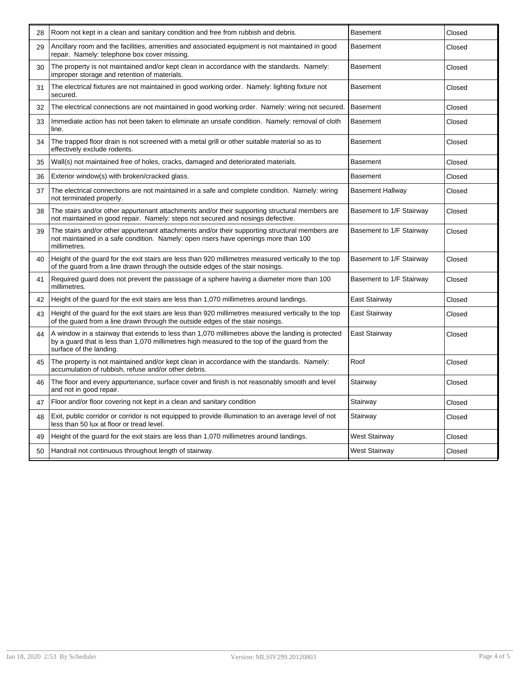| 28 | Room not kept in a clean and sanitary condition and free from rubbish and debris.                                                                                                                                             | <b>Basement</b>          | Closed |
|----|-------------------------------------------------------------------------------------------------------------------------------------------------------------------------------------------------------------------------------|--------------------------|--------|
| 29 | Ancillary room and the facilities, amenities and associated equipment is not maintained in good<br>repair. Namely: telephone box cover missing.                                                                               | <b>Basement</b>          | Closed |
| 30 | The property is not maintained and/or kept clean in accordance with the standards. Namely:<br>improper storage and retention of materials.                                                                                    | Basement                 | Closed |
| 31 | The electrical fixtures are not maintained in good working order. Namely: lighting fixture not<br>secured.                                                                                                                    | Basement                 | Closed |
| 32 | The electrical connections are not maintained in good working order. Namely: wiring not secured.                                                                                                                              | <b>Basement</b>          | Closed |
| 33 | Immediate action has not been taken to eliminate an unsafe condition. Namely: removal of cloth<br>line.                                                                                                                       | <b>Basement</b>          | Closed |
| 34 | The trapped floor drain is not screened with a metal grill or other suitable material so as to<br>effectively exclude rodents.                                                                                                | Basement                 | Closed |
| 35 | Wall(s) not maintained free of holes, cracks, damaged and deteriorated materials.                                                                                                                                             | <b>Basement</b>          | Closed |
| 36 | Exterior window(s) with broken/cracked glass.                                                                                                                                                                                 | <b>Basement</b>          | Closed |
| 37 | The electrical connections are not maintained in a safe and complete condition. Namely: wiring<br>not terminated properly.                                                                                                    | Basement Hallway         | Closed |
| 38 | The stairs and/or other appurtenant attachments and/or their supporting structural members are<br>not maintained in good repair. Namely: steps not secured and nosings defective.                                             | Basement to 1/F Stairway | Closed |
| 39 | The stairs and/or other appurtenant attachments and/or their supporting structural members are<br>not maintained in a safe condition. Namely: open risers have openings more than 100<br>millimetres.                         | Basement to 1/F Stairway | Closed |
| 40 | Height of the quard for the exit stairs are less than 920 millimetres measured vertically to the top<br>of the guard from a line drawn through the outside edges of the stair nosings.                                        | Basement to 1/F Stairway | Closed |
| 41 | Required guard does not prevent the passsage of a sphere having a diameter more than 100<br>millimetres.                                                                                                                      | Basement to 1/F Stairway | Closed |
| 42 | Height of the guard for the exit stairs are less than 1,070 millimetres around landings.                                                                                                                                      | East Stairway            | Closed |
| 43 | Height of the quard for the exit stairs are less than 920 millimetres measured vertically to the top<br>of the quard from a line drawn through the outside edges of the stair nosings.                                        | East Stairway            | Closed |
| 44 | A window in a stairway that extends to less than 1,070 millimetres above the landing is protected<br>by a guard that is less than 1,070 millimetres high measured to the top of the guard from the<br>surface of the landing. | East Stairway            | Closed |
| 45 | The property is not maintained and/or kept clean in accordance with the standards. Namely:<br>accumulation of rubbish, refuse and/or other debris.                                                                            | Roof                     | Closed |
| 46 | The floor and every appurtenance, surface cover and finish is not reasonably smooth and level<br>and not in good repair.                                                                                                      | Stairway                 | Closed |
| 47 | Floor and/or floor covering not kept in a clean and sanitary condition                                                                                                                                                        | Stairway                 | Closed |
| 48 | Exit, public corridor or corridor is not equipped to provide illumination to an average level of not<br>less than 50 lux at floor or tread level.                                                                             | Stairway                 | Closed |
| 49 | Height of the guard for the exit stairs are less than 1,070 millimetres around landings.                                                                                                                                      | West Stairway            | Closed |
| 50 | Handrail not continuous throughout length of stairway.                                                                                                                                                                        | West Stairway            | Closed |
|    |                                                                                                                                                                                                                               |                          |        |